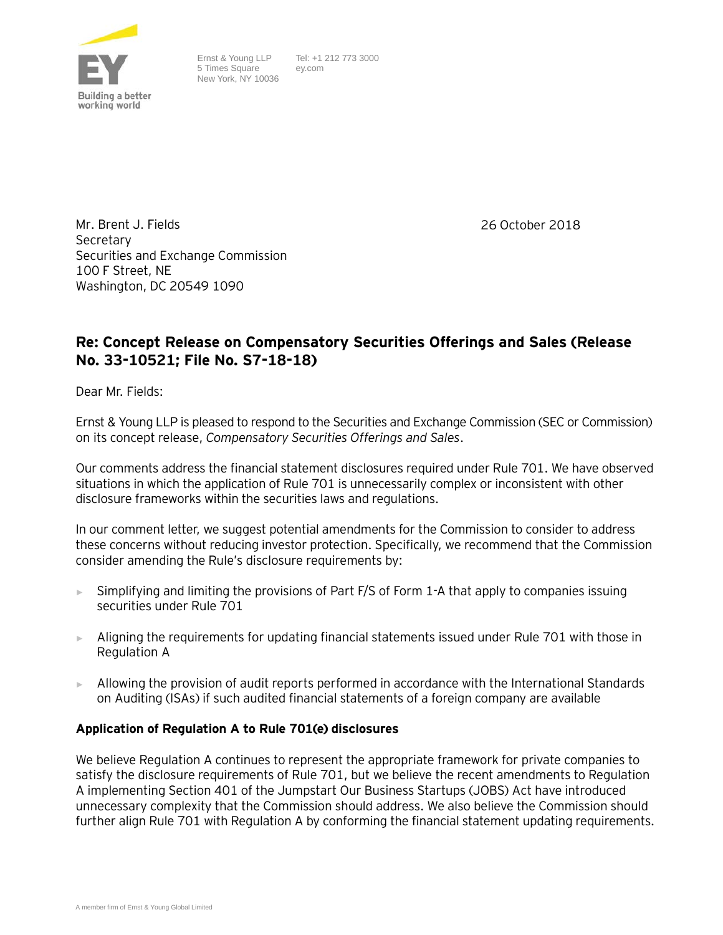

Ernst & Young LLP 5 Times Square New York, NY 10036 Tel: +1 212 773 3000 ey.com

26 October 2018

Mr. Brent J. Fields Secretary Securities and Exchange Commission 100 F Street, NE Washington, DC 20549 1090

# **Re: Concept Release on Compensatory Securities Offerings and Sales (Release No. 33-10521; File No. S7-18-18)**

Dear Mr. Fields:

Ernst & Young LLP is pleased to respond to the Securities and Exchange Commission (SEC or Commission) on its concept release, *Compensatory Securities Offerings and Sales*.

Our comments address the financial statement disclosures required under Rule 701. We have observed situations in which the application of Rule 701 is unnecessarily complex or inconsistent with other disclosure frameworks within the securities laws and regulations.

In our comment letter, we suggest potential amendments for the Commission to consider to address these concerns without reducing investor protection. Specifically, we recommend that the Commission consider amending the Rule's disclosure requirements by:

- ► Simplifying and limiting the provisions of Part F/S of Form 1-A that apply to companies issuing securities under Rule 701
- ► Aligning the requirements for updating financial statements issued under Rule 701 with those in Regulation A
- ► Allowing the provision of audit reports performed in accordance with the International Standards on Auditing (ISAs) if such audited financial statements of a foreign company are available

### **Application of Regulation A to Rule 701(e) disclosures**

We believe Regulation A continues to represent the appropriate framework for private companies to satisfy the disclosure requirements of Rule 701, but we believe the recent amendments to Regulation A implementing Section 401 of the Jumpstart Our Business Startups (JOBS) Act have introduced unnecessary complexity that the Commission should address. We also believe the Commission should further align Rule 701 with Regulation A by conforming the financial statement updating requirements.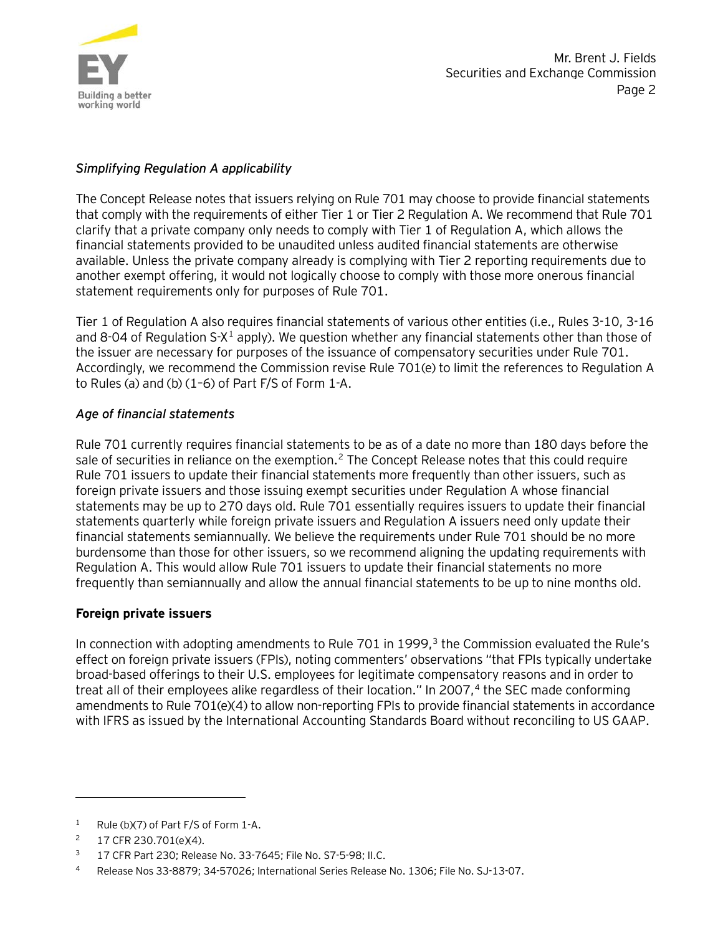

## *Simplifying Regulation A applicability*

The Concept Release notes that issuers relying on Rule 701 may choose to provide financial statements that comply with the requirements of either Tier 1 or Tier 2 Regulation A. We recommend that Rule 701 clarify that a private company only needs to comply with Tier 1 of Regulation A, which allows the financial statements provided to be unaudited unless audited financial statements are otherwise available. Unless the private company already is complying with Tier 2 reporting requirements due to another exempt offering, it would not logically choose to comply with those more onerous financial statement requirements only for purposes of Rule 701.

Tier 1 of Regulation A also requires financial statements of various other entities (i.e., Rules 3-10, 3-16 and 8-04 of Regulation  $S-X^1$  $S-X^1$  apply). We question whether any financial statements other than those of the issuer are necessary for purposes of the issuance of compensatory securities under Rule 701. Accordingly, we recommend the Commission revise Rule 701(e) to limit the references to Regulation A to Rules (a) and (b) (1–6) of Part F/S of Form 1-A.

### *Age of financial statements*

Rule 701 currently requires financial statements to be as of a date no more than 180 days before the sale of securities in reliance on the exemption.<sup>[2](#page-1-1)</sup> The Concept Release notes that this could require Rule 701 issuers to update their financial statements more frequently than other issuers, such as foreign private issuers and those issuing exempt securities under Regulation A whose financial statements may be up to 270 days old. Rule 701 essentially requires issuers to update their financial statements quarterly while foreign private issuers and Regulation A issuers need only update their financial statements semiannually. We believe the requirements under Rule 701 should be no more burdensome than those for other issuers, so we recommend aligning the updating requirements with Regulation A. This would allow Rule 701 issuers to update their financial statements no more frequently than semiannually and allow the annual financial statements to be up to nine months old.

### **Foreign private issuers**

In connection with adopting amendments to Rule 701 in 1999,<sup>[3](#page-1-2)</sup> the Commission evaluated the Rule's effect on foreign private issuers (FPIs), noting commenters' observations "that FPIs typically undertake broad-based offerings to their U.S. employees for legitimate compensatory reasons and in order to treat all of their employees alike regardless of their location." In 2007, [4](#page-1-3) the SEC made conforming amendments to Rule 701(e)(4) to allow non-reporting FPIs to provide financial statements in accordance with IFRS as issued by the International Accounting Standards Board without reconciling to US GAAP.

 $\overline{a}$ 

<span id="page-1-0"></span><sup>&</sup>lt;sup>1</sup> Rule (b)(7) of Part F/S of Form 1-A.

<span id="page-1-1"></span><sup>2</sup> 17 CFR 230.701(e)(4).

<span id="page-1-2"></span><sup>3</sup> 17 CFR Part 230; Release No. 33-7645; File No. S7-5-98; II.C.

<span id="page-1-3"></span><sup>4</sup> Release Nos 33-8879; 34-57026; International Series Release No. 1306; File No. SJ-13-07.